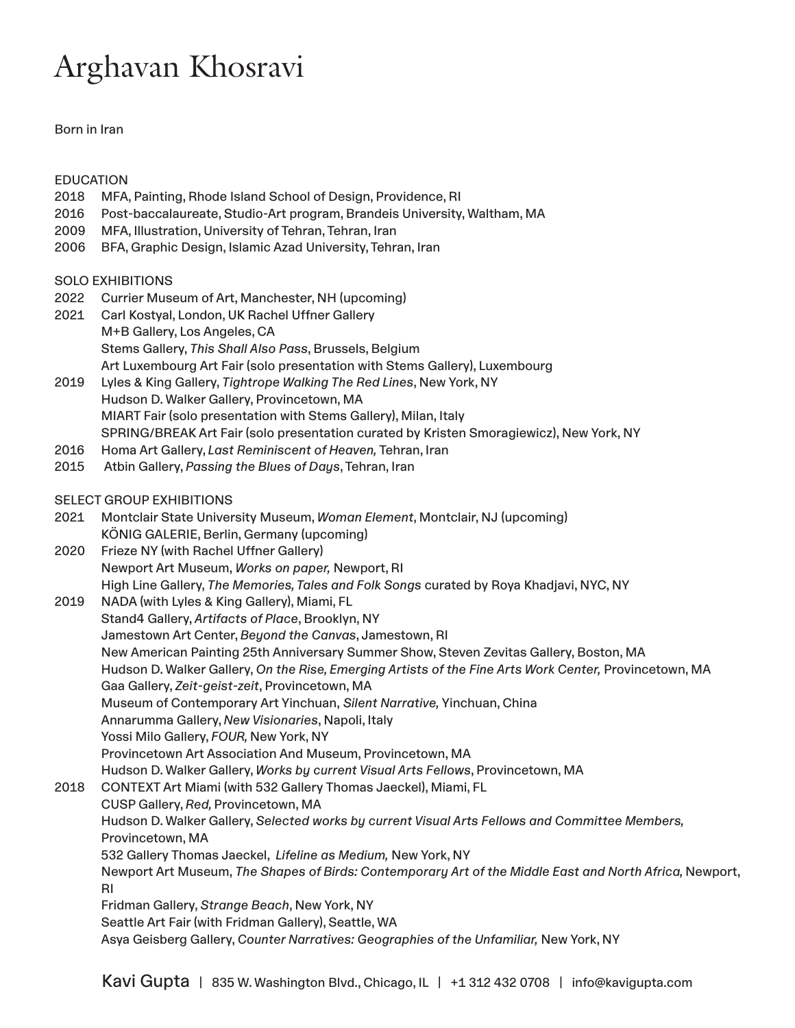## Arghavan Khosravi

Born in Iran

EDUCATION

## 2018 MFA, Painting, Rhode Island School of Design, Providence, RI 2016 Post-baccalaureate, Studio-Art program, Brandeis University, Waltham, MA 2009 MFA, Illustration, University of Tehran, Tehran, Iran 2006 BFA, Graphic Design, Islamic Azad University, Tehran, Iran SOLO EXHIBITIONS 2022 Currier Museum of Art, Manchester, NH (upcoming) 2021 Carl Kostyal, London, UK Rachel Uffner Gallery M+B Gallery, Los Angeles, CA Stems Gallery, *This Shall Also Pass*, Brussels, Belgium Art Luxembourg Art Fair (solo presentation with Stems Gallery), Luxembourg 2019 Lyles & King Gallery, *Tightrope Walking The Red Lines*, New York, NY Hudson D. Walker Gallery, Provincetown, MA MIART Fair (solo presentation with Stems Gallery), Milan, Italy SPRING/BREAK Art Fair (solo presentation curated by Kristen Smoragiewicz), New York, NY 2016 Homa Art Gallery, *Last Reminiscent of Heaven,* Tehran, Iran 2015 Atbin Gallery, *Passing the Blues of Days*, Tehran, Iran SELECT GROUP EXHIBITIONS 2021 Montclair State University Museum, *Woman Element*, Montclair, NJ (upcoming) KÖNIG GALERIE, Berlin, Germany (upcoming) 2020 Frieze NY (with Rachel Uffner Gallery) Newport Art Museum, *Works on paper,* Newport, RI High Line Gallery, *The Memories, Tales and Folk Songs* curated by Roya Khadjavi, NYC, NY 2019 NADA (with Lyles & King Gallery), Miami, FL Stand4 Gallery, *Artifacts of Place*, Brooklyn, NY Jamestown Art Center, *Beyond the Canvas*, Jamestown, RI New American Painting 25th Anniversary Summer Show, Steven Zevitas Gallery, Boston, MA Hudson D. Walker Gallery, *On the Rise, Emerging Artists of the Fine Arts Work Center,* Provincetown, MA Gaa Gallery, *Zeit-geist-zeit*, Provincetown, MA Museum of Contemporary Art Yinchuan, *Silent Narrative,* Yinchuan, China Annarumma Gallery, *New Visionaries*, Napoli, Italy Yossi Milo Gallery, *FOUR,* New York, NY Provincetown Art Association And Museum, Provincetown, MA Hudson D. Walker Gallery, *Works by current Visual Arts Fellows*, Provincetown, MA 2018 CONTEXT Art Miami (with 532 Gallery Thomas Jaeckel), Miami, FL CUSP Gallery, *Red,* Provincetown, MA Hudson D. Walker Gallery, *Selected works by current Visual Arts Fellows and Committee Members,* Provincetown, MA 532 Gallery Thomas Jaeckel, *Lifeline as Medium,* New York, NY Newport Art Museum, *The Shapes of Birds: Contemporary Art of the Middle East and North Africa,* Newport, RI Fridman Gallery, *Strange Beach*, New York, NY Seattle Art Fair (with Fridman Gallery), Seattle, WA Asya Geisberg Gallery, *Counter Narratives: Geographies of the Unfamiliar,* New York, NY